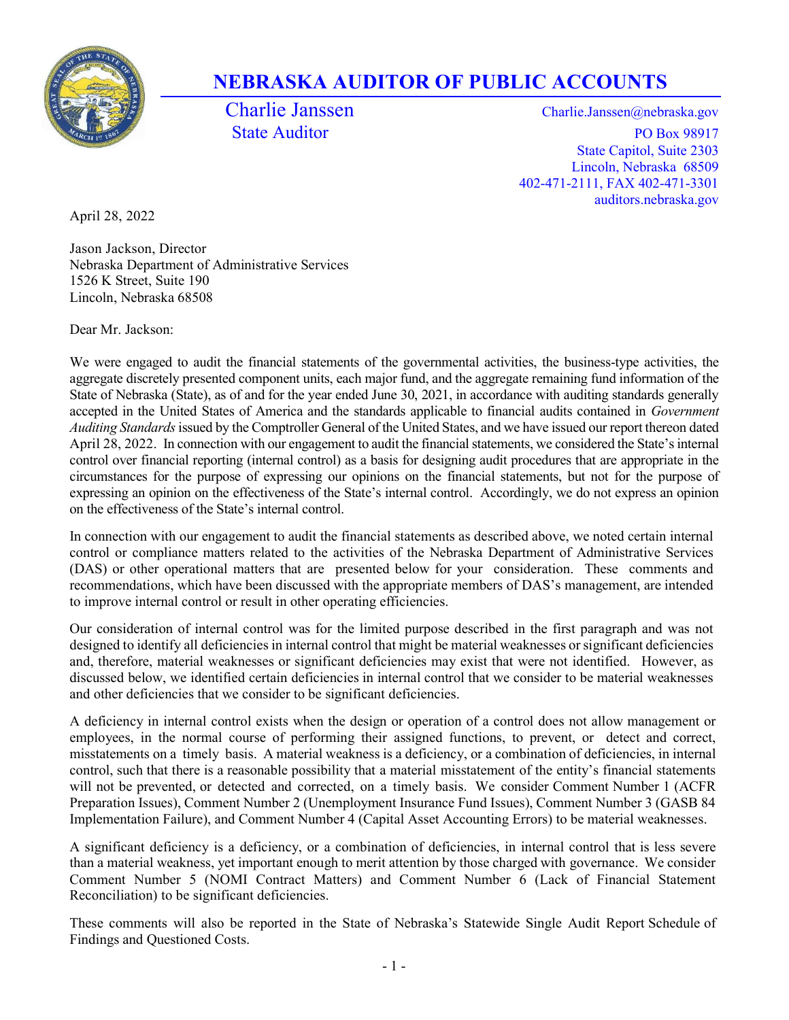

# NEBRASKA AUDITOR OF PUBLIC ACCOUNTS

Charlie Janssen Charlie.Janssen @nebraska.gov State Auditor PO Box 98917 State Capitol, Suite 2303 Lincoln, Nebraska 68509 402-471-2111, FAX 402-471-3301 auditors.nebraska.gov

April 28, 2022

Jason Jackson, Director Nebraska Department of Administrative Services 1526 K Street, Suite 190 Lincoln, Nebraska 68508

Dear Mr. Jackson:

We were engaged to audit the financial statements of the governmental activities, the business-type activities, the aggregate discretely presented component units, each major fund, and the aggregate remaining fund information of the State of Nebraska (State), as of and for the year ended June 30, 2021, in accordance with auditing standards generally accepted in the United States of America and the standards applicable to financial audits contained in Government Auditing Standards issued by the Comptroller General of the United States, and we have issued our report thereon dated April 28, 2022. In connection with our engagement to audit the financial statements, we considered the State's internal control over financial reporting (internal control) as a basis for designing audit procedures that are appropriate in the circumstances for the purpose of expressing our opinions on the financial statements, but not for the purpose of expressing an opinion on the effectiveness of the State's internal control. Accordingly, we do not express an opinion on the effectiveness of the State's internal control.

In connection with our engagement to audit the financial statements as described above, we noted certain internal control or compliance matters related to the activities of the Nebraska Department of Administrative Services (DAS) or other operational matters that are presented below for your consideration. These comments and recommendations, which have been discussed with the appropriate members of DAS's management, are intended to improve internal control or result in other operating efficiencies.

Our consideration of internal control was for the limited purpose described in the first paragraph and was not designed to identify all deficiencies in internal control that might be material weaknesses or significant deficiencies and, therefore, material weaknesses or significant deficiencies may exist that were not identified. However, as discussed below, we identified certain deficiencies in internal control that we consider to be material weaknesses and other deficiencies that we consider to be significant deficiencies.

A deficiency in internal control exists when the design or operation of a control does not allow management or employees, in the normal course of performing their assigned functions, to prevent, or detect and correct, misstatements on a timely basis. A material weakness is a deficiency, or a combination of deficiencies, in internal control, such that there is a reasonable possibility that a material misstatement of the entity's financial statements will not be prevented, or detected and corrected, on a timely basis. We consider Comment Number 1 (ACFR Preparation Issues), Comment Number 2 (Unemployment Insurance Fund Issues), Comment Number 3 (GASB 84 Implementation Failure), and Comment Number 4 (Capital Asset Accounting Errors) to be material weaknesses.

A significant deficiency is a deficiency, or a combination of deficiencies, in internal control that is less severe than a material weakness, yet important enough to merit attention by those charged with governance. We consider Comment Number 5 (NOMI Contract Matters) and Comment Number 6 (Lack of Financial Statement Reconciliation) to be significant deficiencies.

These comments will also be reported in the State of Nebraska's Statewide Single Audit Report Schedule of Findings and Questioned Costs.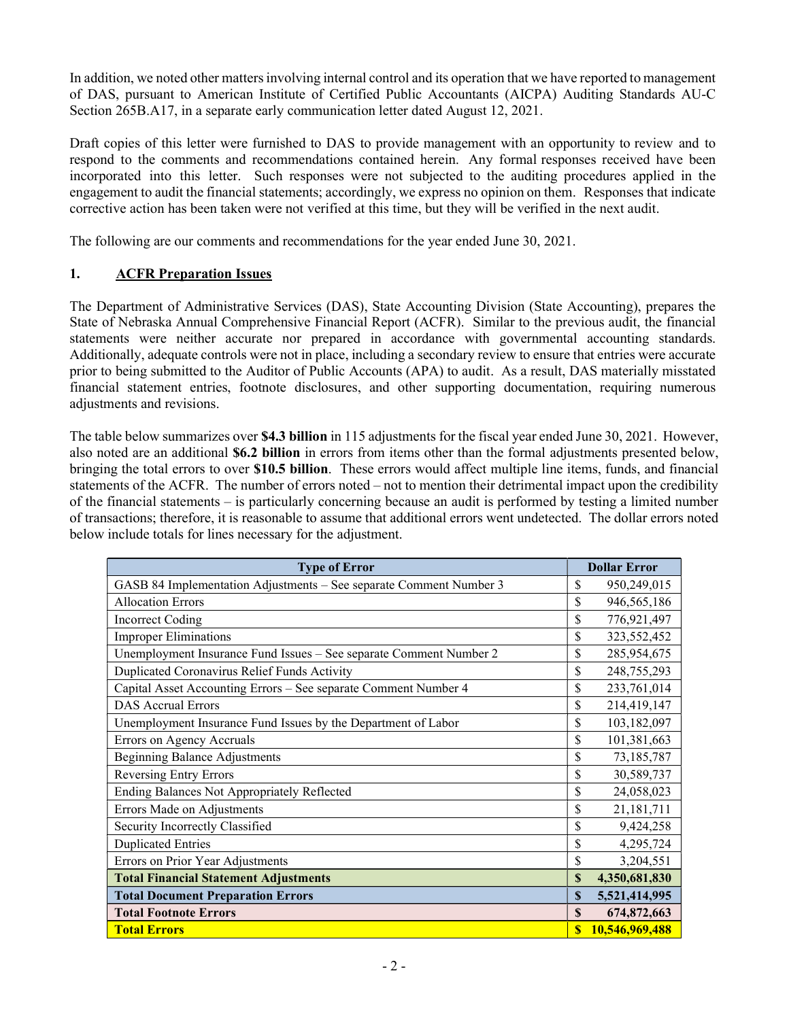In addition, we noted other matters involving internal control and its operation that we have reported to management of DAS, pursuant to American Institute of Certified Public Accountants (AICPA) Auditing Standards AU-C Section 265B.A17, in a separate early communication letter dated August 12, 2021.

Draft copies of this letter were furnished to DAS to provide management with an opportunity to review and to respond to the comments and recommendations contained herein. Any formal responses received have been incorporated into this letter. Such responses were not subjected to the auditing procedures applied in the engagement to audit the financial statements; accordingly, we express no opinion on them. Responses that indicate corrective action has been taken were not verified at this time, but they will be verified in the next audit.

The following are our comments and recommendations for the year ended June 30, 2021.

#### 1. ACFR Preparation Issues

The Department of Administrative Services (DAS), State Accounting Division (State Accounting), prepares the State of Nebraska Annual Comprehensive Financial Report (ACFR). Similar to the previous audit, the financial statements were neither accurate nor prepared in accordance with governmental accounting standards. Additionally, adequate controls were not in place, including a secondary review to ensure that entries were accurate prior to being submitted to the Auditor of Public Accounts (APA) to audit. As a result, DAS materially misstated financial statement entries, footnote disclosures, and other supporting documentation, requiring numerous adjustments and revisions.

The table below summarizes over \$4.3 billion in 115 adjustments for the fiscal year ended June 30, 2021. However, also noted are an additional \$6.2 billion in errors from items other than the formal adjustments presented below, bringing the total errors to over \$10.5 billion. These errors would affect multiple line items, funds, and financial statements of the ACFR. The number of errors noted – not to mention their detrimental impact upon the credibility of the financial statements – is particularly concerning because an audit is performed by testing a limited number of transactions; therefore, it is reasonable to assume that additional errors went undetected. The dollar errors noted below include totals for lines necessary for the adjustment.

| <b>Type of Error</b>                                               | <b>Dollar Error</b>     |  |  |  |
|--------------------------------------------------------------------|-------------------------|--|--|--|
| GASB 84 Implementation Adjustments - See separate Comment Number 3 | \$<br>950,249,015       |  |  |  |
| <b>Allocation Errors</b>                                           | \$<br>946,565,186       |  |  |  |
| <b>Incorrect Coding</b>                                            | \$<br>776,921,497       |  |  |  |
| <b>Improper Eliminations</b>                                       | \$<br>323, 552, 452     |  |  |  |
| Unemployment Insurance Fund Issues - See separate Comment Number 2 | \$<br>285,954,675       |  |  |  |
| Duplicated Coronavirus Relief Funds Activity                       | \$<br>248,755,293       |  |  |  |
| Capital Asset Accounting Errors - See separate Comment Number 4    | \$<br>233,761,014       |  |  |  |
| <b>DAS Accrual Errors</b>                                          | \$<br>214,419,147       |  |  |  |
| Unemployment Insurance Fund Issues by the Department of Labor      | \$<br>103,182,097       |  |  |  |
| Errors on Agency Accruals                                          | \$<br>101,381,663       |  |  |  |
| <b>Beginning Balance Adjustments</b>                               | \$<br>73,185,787        |  |  |  |
| <b>Reversing Entry Errors</b>                                      | \$<br>30,589,737        |  |  |  |
| Ending Balances Not Appropriately Reflected                        | \$<br>24,058,023        |  |  |  |
| Errors Made on Adjustments                                         | \$<br>21,181,711        |  |  |  |
| Security Incorrectly Classified                                    | \$<br>9,424,258         |  |  |  |
| <b>Duplicated Entries</b>                                          | \$<br>4,295,724         |  |  |  |
| Errors on Prior Year Adjustments                                   | \$<br>3,204,551         |  |  |  |
| <b>Total Financial Statement Adjustments</b>                       | \$<br>4,350,681,830     |  |  |  |
| <b>Total Document Preparation Errors</b>                           | \$<br>5,521,414,995     |  |  |  |
| <b>Total Footnote Errors</b>                                       | <b>S</b><br>674,872,663 |  |  |  |
| <b>Total Errors</b>                                                | 10,546,969,488          |  |  |  |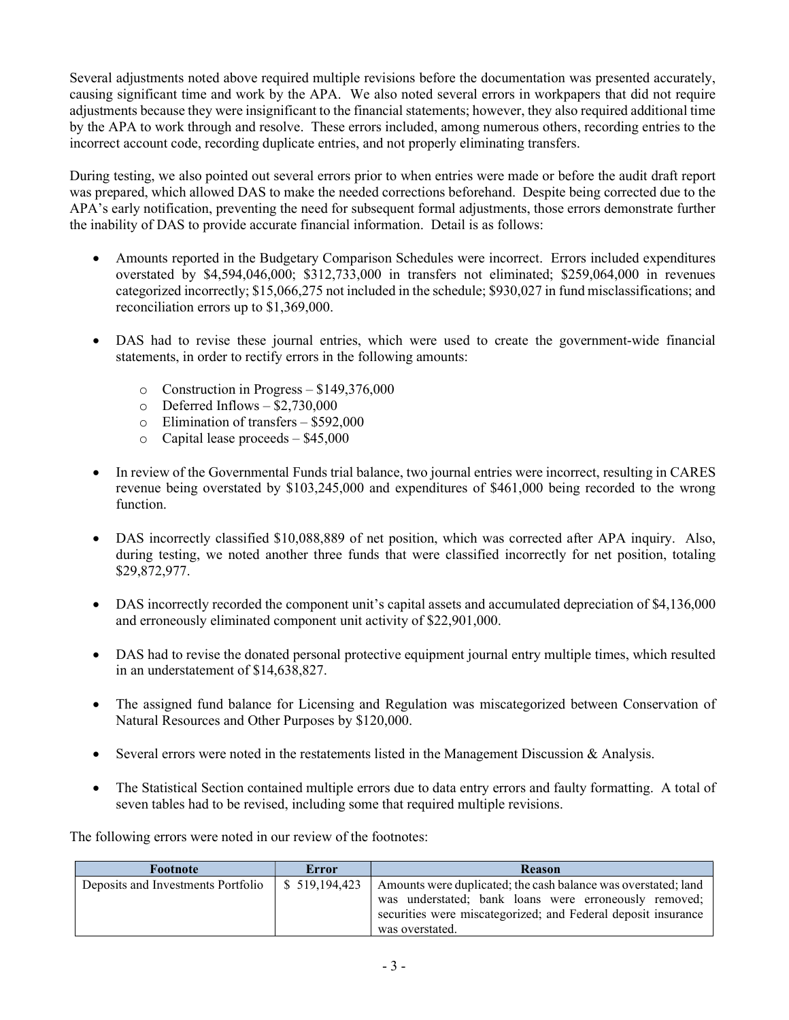Several adjustments noted above required multiple revisions before the documentation was presented accurately, causing significant time and work by the APA. We also noted several errors in workpapers that did not require adjustments because they were insignificant to the financial statements; however, they also required additional time by the APA to work through and resolve. These errors included, among numerous others, recording entries to the incorrect account code, recording duplicate entries, and not properly eliminating transfers.

During testing, we also pointed out several errors prior to when entries were made or before the audit draft report was prepared, which allowed DAS to make the needed corrections beforehand. Despite being corrected due to the APA's early notification, preventing the need for subsequent formal adjustments, those errors demonstrate further the inability of DAS to provide accurate financial information. Detail is as follows:

- Amounts reported in the Budgetary Comparison Schedules were incorrect. Errors included expenditures overstated by \$4,594,046,000; \$312,733,000 in transfers not eliminated; \$259,064,000 in revenues categorized incorrectly; \$15,066,275 not included in the schedule; \$930,027 in fund misclassifications; and reconciliation errors up to \$1,369,000.
- DAS had to revise these journal entries, which were used to create the government-wide financial statements, in order to rectify errors in the following amounts:
	- o Construction in Progress \$149,376,000
	- $\circ$  Deferred Inflows \$2,730,000
	- o Elimination of transfers \$592,000
	- $\circ$  Capital lease proceeds \$45,000
- In review of the Governmental Funds trial balance, two journal entries were incorrect, resulting in CARES revenue being overstated by \$103,245,000 and expenditures of \$461,000 being recorded to the wrong function.
- DAS incorrectly classified \$10,088,889 of net position, which was corrected after APA inquiry. Also, during testing, we noted another three funds that were classified incorrectly for net position, totaling \$29,872,977.
- DAS incorrectly recorded the component unit's capital assets and accumulated depreciation of \$4,136,000 and erroneously eliminated component unit activity of \$22,901,000.
- DAS had to revise the donated personal protective equipment journal entry multiple times, which resulted in an understatement of \$14,638,827.
- The assigned fund balance for Licensing and Regulation was miscategorized between Conservation of Natural Resources and Other Purposes by \$120,000.
- Several errors were noted in the restatements listed in the Management Discussion & Analysis.
- The Statistical Section contained multiple errors due to data entry errors and faulty formatting. A total of seven tables had to be revised, including some that required multiple revisions.

The following errors were noted in our review of the footnotes:

| Footnote                           | Error          | <b>Reason</b>                                                                                                                                                                                               |  |  |  |  |  |  |
|------------------------------------|----------------|-------------------------------------------------------------------------------------------------------------------------------------------------------------------------------------------------------------|--|--|--|--|--|--|
| Deposits and Investments Portfolio | \$ 519,194,423 | Amounts were duplicated; the cash balance was overstated; land<br>was understated; bank loans were erroneously removed;<br>securities were miscategorized; and Federal deposit insurance<br>was overstated. |  |  |  |  |  |  |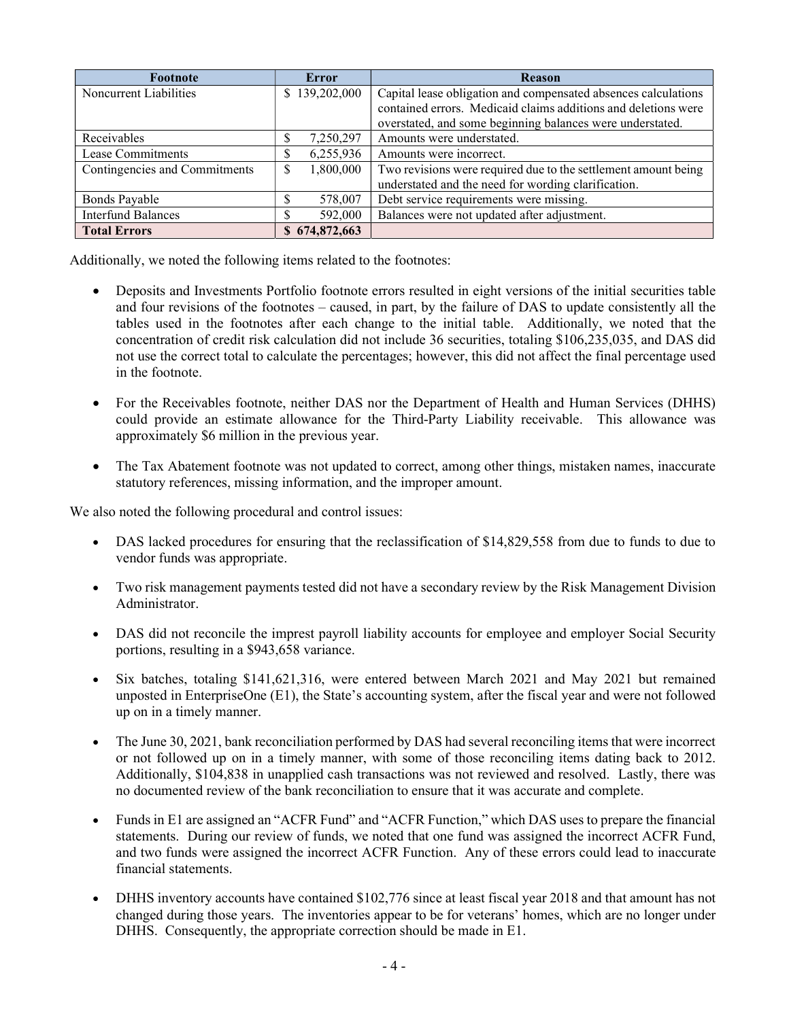| Footnote                      | <b>Error</b>   | <b>Reason</b>                                                  |
|-------------------------------|----------------|----------------------------------------------------------------|
| Noncurrent Liabilities        | \$139,202,000  | Capital lease obligation and compensated absences calculations |
|                               |                | contained errors. Medicaid claims additions and deletions were |
|                               |                | overstated, and some beginning balances were understated.      |
| Receivables                   | 7,250,297      | Amounts were understated.                                      |
| Lease Commitments             | 6,255,936      | Amounts were incorrect.                                        |
| Contingencies and Commitments | 1,800,000<br>S | Two revisions were required due to the settlement amount being |
|                               |                | understated and the need for wording clarification.            |
| Bonds Payable                 | 578,007        | Debt service requirements were missing.                        |
| <b>Interfund Balances</b>     | 592,000        | Balances were not updated after adjustment.                    |
| <b>Total Errors</b>           | \$674,872,663  |                                                                |

Additionally, we noted the following items related to the footnotes:

- Deposits and Investments Portfolio footnote errors resulted in eight versions of the initial securities table and four revisions of the footnotes – caused, in part, by the failure of DAS to update consistently all the tables used in the footnotes after each change to the initial table. Additionally, we noted that the concentration of credit risk calculation did not include 36 securities, totaling \$106,235,035, and DAS did not use the correct total to calculate the percentages; however, this did not affect the final percentage used in the footnote.
- For the Receivables footnote, neither DAS nor the Department of Health and Human Services (DHHS) could provide an estimate allowance for the Third-Party Liability receivable. This allowance was approximately \$6 million in the previous year.
- The Tax Abatement footnote was not updated to correct, among other things, mistaken names, inaccurate statutory references, missing information, and the improper amount.

We also noted the following procedural and control issues:

- DAS lacked procedures for ensuring that the reclassification of \$14,829,558 from due to funds to due to vendor funds was appropriate.
- Two risk management payments tested did not have a secondary review by the Risk Management Division Administrator.
- DAS did not reconcile the imprest payroll liability accounts for employee and employer Social Security portions, resulting in a \$943,658 variance.
- Six batches, totaling \$141,621,316, were entered between March 2021 and May 2021 but remained unposted in EnterpriseOne (E1), the State's accounting system, after the fiscal year and were not followed up on in a timely manner.
- The June 30, 2021, bank reconciliation performed by DAS had several reconciling items that were incorrect or not followed up on in a timely manner, with some of those reconciling items dating back to 2012. Additionally, \$104,838 in unapplied cash transactions was not reviewed and resolved. Lastly, there was no documented review of the bank reconciliation to ensure that it was accurate and complete.
- Funds in E1 are assigned an "ACFR Fund" and "ACFR Function," which DAS uses to prepare the financial statements. During our review of funds, we noted that one fund was assigned the incorrect ACFR Fund, and two funds were assigned the incorrect ACFR Function. Any of these errors could lead to inaccurate financial statements.
- DHHS inventory accounts have contained \$102,776 since at least fiscal year 2018 and that amount has not changed during those years. The inventories appear to be for veterans' homes, which are no longer under DHHS. Consequently, the appropriate correction should be made in E1.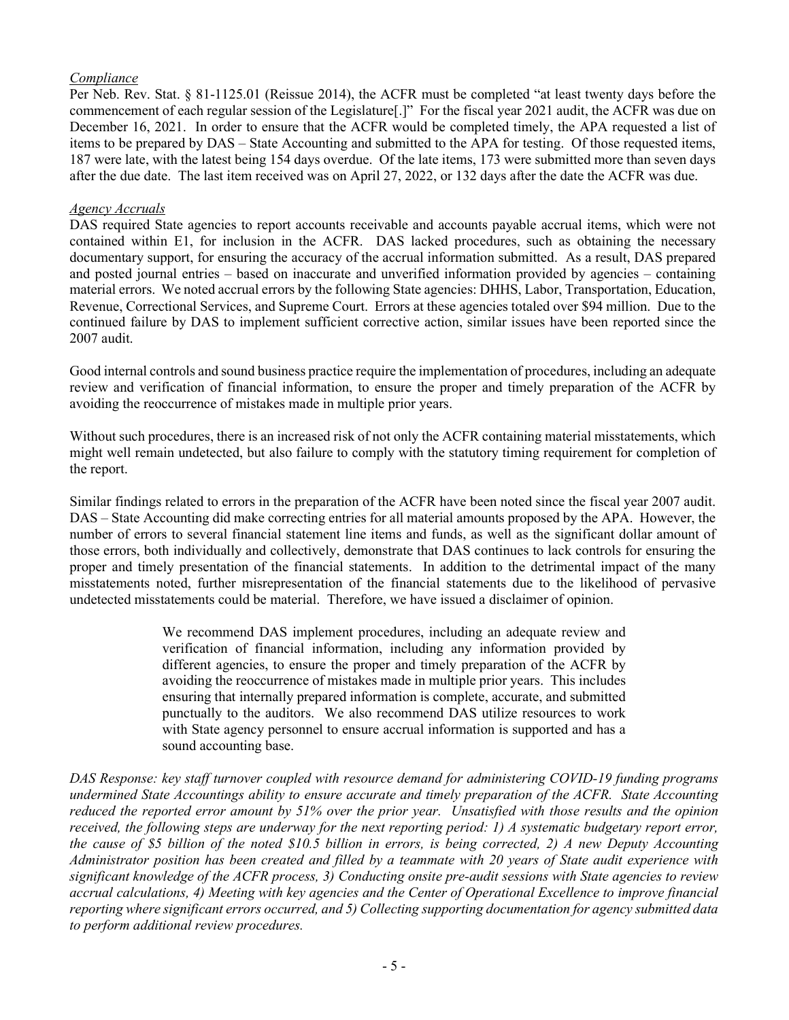## Compliance

Per Neb. Rev. Stat. § 81-1125.01 (Reissue 2014), the ACFR must be completed "at least twenty days before the commencement of each regular session of the Legislature[.]" For the fiscal year 2021 audit, the ACFR was due on December 16, 2021. In order to ensure that the ACFR would be completed timely, the APA requested a list of items to be prepared by DAS – State Accounting and submitted to the APA for testing. Of those requested items, 187 were late, with the latest being 154 days overdue. Of the late items, 173 were submitted more than seven days after the due date. The last item received was on April 27, 2022, or 132 days after the date the ACFR was due.

#### Agency Accruals

DAS required State agencies to report accounts receivable and accounts payable accrual items, which were not contained within E1, for inclusion in the ACFR. DAS lacked procedures, such as obtaining the necessary documentary support, for ensuring the accuracy of the accrual information submitted. As a result, DAS prepared and posted journal entries – based on inaccurate and unverified information provided by agencies – containing material errors. We noted accrual errors by the following State agencies: DHHS, Labor, Transportation, Education, Revenue, Correctional Services, and Supreme Court. Errors at these agencies totaled over \$94 million. Due to the continued failure by DAS to implement sufficient corrective action, similar issues have been reported since the 2007 audit.

Good internal controls and sound business practice require the implementation of procedures, including an adequate review and verification of financial information, to ensure the proper and timely preparation of the ACFR by avoiding the reoccurrence of mistakes made in multiple prior years.

Without such procedures, there is an increased risk of not only the ACFR containing material misstatements, which might well remain undetected, but also failure to comply with the statutory timing requirement for completion of the report.

Similar findings related to errors in the preparation of the ACFR have been noted since the fiscal year 2007 audit. DAS – State Accounting did make correcting entries for all material amounts proposed by the APA. However, the number of errors to several financial statement line items and funds, as well as the significant dollar amount of those errors, both individually and collectively, demonstrate that DAS continues to lack controls for ensuring the proper and timely presentation of the financial statements. In addition to the detrimental impact of the many misstatements noted, further misrepresentation of the financial statements due to the likelihood of pervasive undetected misstatements could be material. Therefore, we have issued a disclaimer of opinion.

> We recommend DAS implement procedures, including an adequate review and verification of financial information, including any information provided by different agencies, to ensure the proper and timely preparation of the ACFR by avoiding the reoccurrence of mistakes made in multiple prior years. This includes ensuring that internally prepared information is complete, accurate, and submitted punctually to the auditors. We also recommend DAS utilize resources to work with State agency personnel to ensure accrual information is supported and has a sound accounting base.

DAS Response: key staff turnover coupled with resource demand for administering COVID-19 funding programs undermined State Accountings ability to ensure accurate and timely preparation of the ACFR. State Accounting reduced the reported error amount by 51% over the prior year. Unsatisfied with those results and the opinion received, the following steps are underway for the next reporting period: 1) A systematic budgetary report error, the cause of \$5 billion of the noted \$10.5 billion in errors, is being corrected, 2) A new Deputy Accounting Administrator position has been created and filled by a teammate with 20 years of State audit experience with significant knowledge of the ACFR process, 3) Conducting onsite pre-audit sessions with State agencies to review accrual calculations, 4) Meeting with key agencies and the Center of Operational Excellence to improve financial reporting where significant errors occurred, and 5) Collecting supporting documentation for agency submitted data to perform additional review procedures.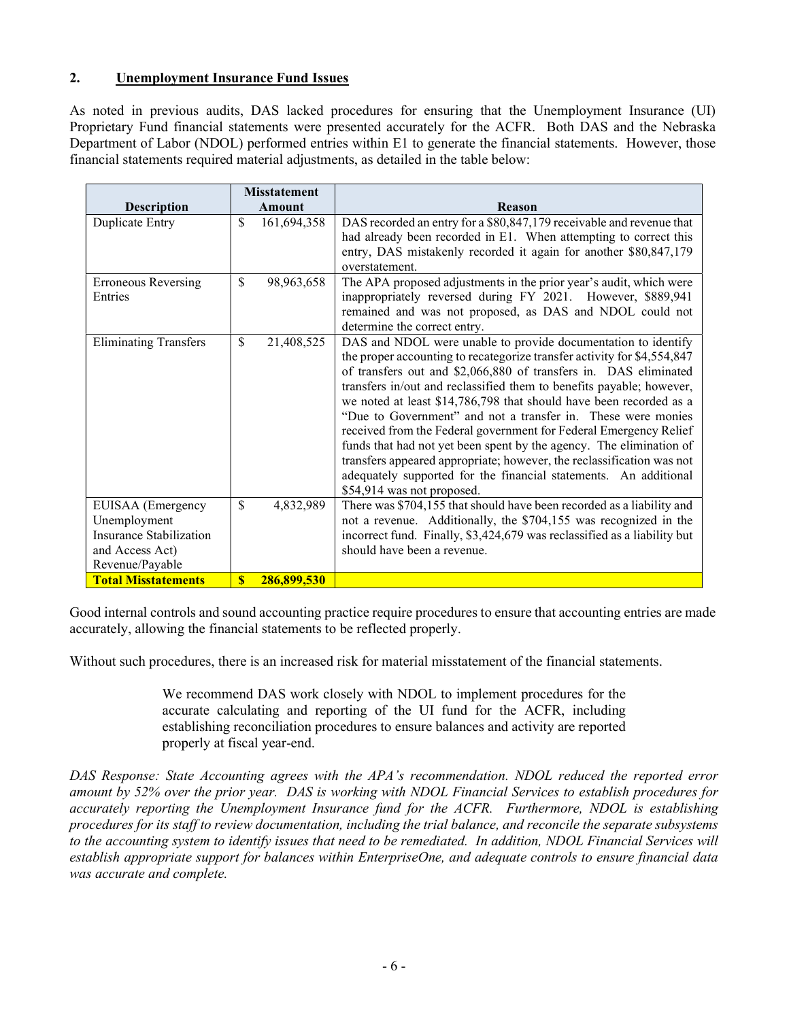## 2. Unemployment Insurance Fund Issues

As noted in previous audits, DAS lacked procedures for ensuring that the Unemployment Insurance (UI) Proprietary Fund financial statements were presented accurately for the ACFR. Both DAS and the Nebraska Department of Labor (NDOL) performed entries within E1 to generate the financial statements. However, those financial statements required material adjustments, as detailed in the table below:

|                                                                                                    |              | <b>Misstatement</b> |                                                                                                                                                                                                                                                                                                                                                                                                                                                                                                                                                                                                                                                                                                                                                   |
|----------------------------------------------------------------------------------------------------|--------------|---------------------|---------------------------------------------------------------------------------------------------------------------------------------------------------------------------------------------------------------------------------------------------------------------------------------------------------------------------------------------------------------------------------------------------------------------------------------------------------------------------------------------------------------------------------------------------------------------------------------------------------------------------------------------------------------------------------------------------------------------------------------------------|
| <b>Description</b>                                                                                 |              | Amount              | Reason                                                                                                                                                                                                                                                                                                                                                                                                                                                                                                                                                                                                                                                                                                                                            |
| Duplicate Entry                                                                                    | \$           | 161,694,358         | DAS recorded an entry for a \$80,847,179 receivable and revenue that<br>had already been recorded in E1. When attempting to correct this<br>entry, DAS mistakenly recorded it again for another \$80,847,179<br>overstatement.                                                                                                                                                                                                                                                                                                                                                                                                                                                                                                                    |
| <b>Erroneous Reversing</b><br>Entries                                                              | \$           | 98,963,658          | The APA proposed adjustments in the prior year's audit, which were<br>inappropriately reversed during FY 2021. However, \$889,941<br>remained and was not proposed, as DAS and NDOL could not<br>determine the correct entry.                                                                                                                                                                                                                                                                                                                                                                                                                                                                                                                     |
| <b>Eliminating Transfers</b>                                                                       | \$           | 21,408,525          | DAS and NDOL were unable to provide documentation to identify<br>the proper accounting to recategorize transfer activity for \$4,554,847<br>of transfers out and \$2,066,880 of transfers in. DAS eliminated<br>transfers in/out and reclassified them to benefits payable; however,<br>we noted at least \$14,786,798 that should have been recorded as a<br>"Due to Government" and not a transfer in. These were monies<br>received from the Federal government for Federal Emergency Relief<br>funds that had not yet been spent by the agency. The elimination of<br>transfers appeared appropriate; however, the reclassification was not<br>adequately supported for the financial statements. An additional<br>\$54,914 was not proposed. |
| EUISAA (Emergency<br>Unemployment<br>Insurance Stabilization<br>and Access Act)<br>Revenue/Payable | \$           | 4,832,989           | There was \$704,155 that should have been recorded as a liability and<br>not a revenue. Additionally, the \$704,155 was recognized in the<br>incorrect fund. Finally, \$3,424,679 was reclassified as a liability but<br>should have been a revenue.                                                                                                                                                                                                                                                                                                                                                                                                                                                                                              |
| <b>Total Misstatements</b>                                                                         | $\mathbf{s}$ | 286,899,530         |                                                                                                                                                                                                                                                                                                                                                                                                                                                                                                                                                                                                                                                                                                                                                   |

Good internal controls and sound accounting practice require procedures to ensure that accounting entries are made accurately, allowing the financial statements to be reflected properly.

Without such procedures, there is an increased risk for material misstatement of the financial statements.

We recommend DAS work closely with NDOL to implement procedures for the accurate calculating and reporting of the UI fund for the ACFR, including establishing reconciliation procedures to ensure balances and activity are reported properly at fiscal year-end.

DAS Response: State Accounting agrees with the APA's recommendation. NDOL reduced the reported error amount by 52% over the prior year. DAS is working with NDOL Financial Services to establish procedures for accurately reporting the Unemployment Insurance fund for the ACFR. Furthermore, NDOL is establishing procedures for its staff to review documentation, including the trial balance, and reconcile the separate subsystems to the accounting system to identify issues that need to be remediated. In addition, NDOL Financial Services will establish appropriate support for balances within EnterpriseOne, and adequate controls to ensure financial data was accurate and complete.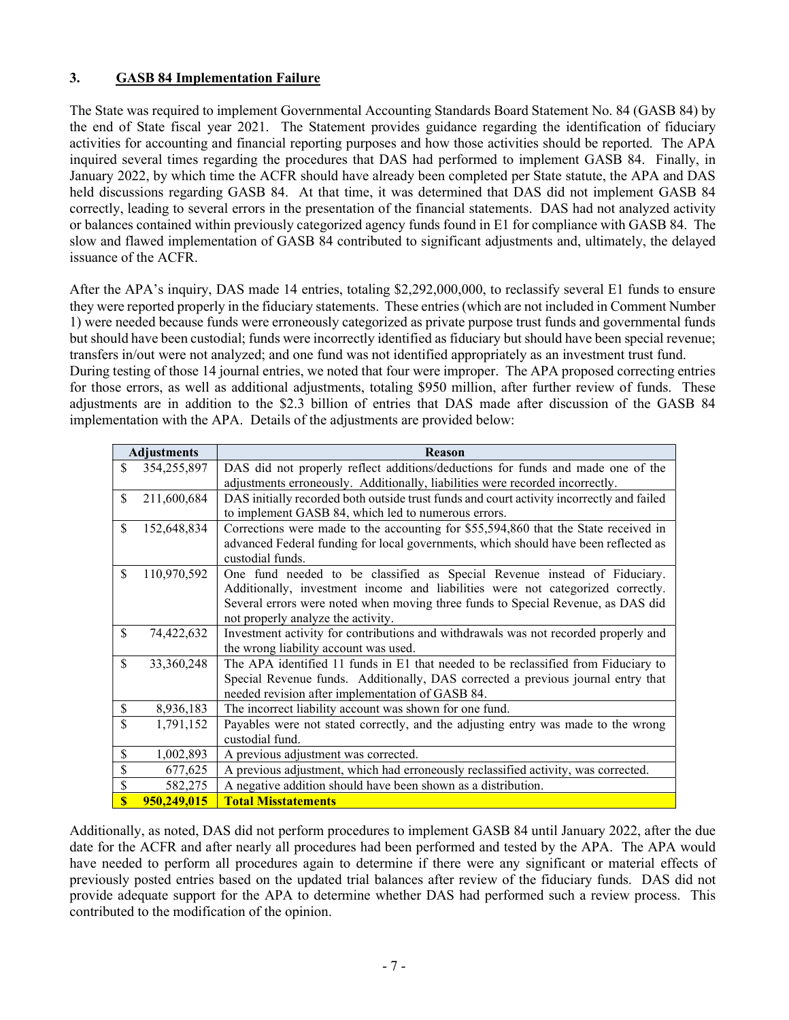# 3. GASB 84 Implementation Failure

The State was required to implement Governmental Accounting Standards Board Statement No. 84 (GASB 84) by the end of State fiscal year 2021. The Statement provides guidance regarding the identification of fiduciary activities for accounting and financial reporting purposes and how those activities should be reported. The APA inquired several times regarding the procedures that DAS had performed to implement GASB 84. Finally, in January 2022, by which time the ACFR should have already been completed per State statute, the APA and DAS held discussions regarding GASB 84. At that time, it was determined that DAS did not implement GASB 84 correctly, leading to several errors in the presentation of the financial statements. DAS had not analyzed activity or balances contained within previously categorized agency funds found in E1 for compliance with GASB 84. The slow and flawed implementation of GASB 84 contributed to significant adjustments and, ultimately, the delayed issuance of the ACFR.

After the APA's inquiry, DAS made 14 entries, totaling \$2,292,000,000, to reclassify several E1 funds to ensure they were reported properly in the fiduciary statements. These entries (which are not included in Comment Number 1) were needed because funds were erroneously categorized as private purpose trust funds and governmental funds but should have been custodial; funds were incorrectly identified as fiduciary but should have been special revenue; transfers in/out were not analyzed; and one fund was not identified appropriately as an investment trust fund.

During testing of those 14 journal entries, we noted that four were improper. The APA proposed correcting entries for those errors, as well as additional adjustments, totaling \$950 million, after further review of funds. These adjustments are in addition to the \$2.3 billion of entries that DAS made after discussion of the GASB 84 implementation with the APA. Details of the adjustments are provided below:

|              | <b>Adjustments</b> | <b>Reason</b>                                                                             |
|--------------|--------------------|-------------------------------------------------------------------------------------------|
| \$           | 354,255,897        | DAS did not properly reflect additions/deductions for funds and made one of the           |
|              |                    | adjustments erroneously. Additionally, liabilities were recorded incorrectly.             |
| \$           | 211,600,684        | DAS initially recorded both outside trust funds and court activity incorrectly and failed |
|              |                    | to implement GASB 84, which led to numerous errors.                                       |
| \$           | 152,648,834        | Corrections were made to the accounting for \$55,594,860 that the State received in       |
|              |                    | advanced Federal funding for local governments, which should have been reflected as       |
|              |                    | custodial funds.                                                                          |
| \$           | 110,970,592        | One fund needed to be classified as Special Revenue instead of Fiduciary.                 |
|              |                    | Additionally, investment income and liabilities were not categorized correctly.           |
|              |                    | Several errors were noted when moving three funds to Special Revenue, as DAS did          |
|              |                    | not properly analyze the activity.                                                        |
| \$           | 74,422,632         | Investment activity for contributions and withdrawals was not recorded properly and       |
|              |                    | the wrong liability account was used.                                                     |
| \$           | 33,360,248         | The APA identified 11 funds in E1 that needed to be reclassified from Fiduciary to        |
|              |                    | Special Revenue funds. Additionally, DAS corrected a previous journal entry that          |
|              |                    | needed revision after implementation of GASB 84.                                          |
| \$           | 8,936,183          | The incorrect liability account was shown for one fund.                                   |
| \$           | 1,791,152          | Payables were not stated correctly, and the adjusting entry was made to the wrong         |
|              |                    | custodial fund.                                                                           |
| \$           | 1,002,893          | A previous adjustment was corrected.                                                      |
| \$           | 677,625            | A previous adjustment, which had erroneously reclassified activity, was corrected.        |
| \$           | 582,275            | A negative addition should have been shown as a distribution.                             |
| $\mathbf{s}$ | 950,249,015        | <b>Total Misstatements</b>                                                                |

Additionally, as noted, DAS did not perform procedures to implement GASB 84 until January 2022, after the due date for the ACFR and after nearly all procedures had been performed and tested by the APA. The APA would have needed to perform all procedures again to determine if there were any significant or material effects of previously posted entries based on the updated trial balances after review of the fiduciary funds. DAS did not provide adequate support for the APA to determine whether DAS had performed such a review process. This contributed to the modification of the opinion.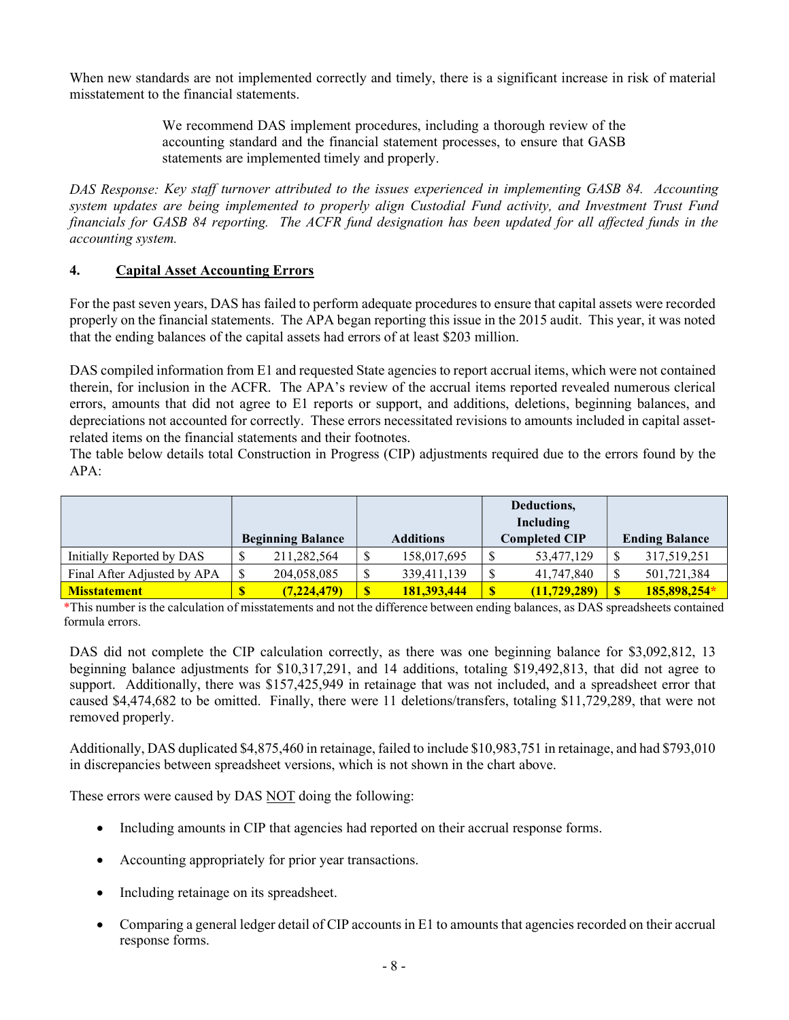When new standards are not implemented correctly and timely, there is a significant increase in risk of material misstatement to the financial statements.

> We recommend DAS implement procedures, including a thorough review of the accounting standard and the financial statement processes, to ensure that GASB statements are implemented timely and properly.

DAS Response: Key staff turnover attributed to the issues experienced in implementing GASB 84. Accounting system updates are being implemented to properly align Custodial Fund activity, and Investment Trust Fund financials for GASB 84 reporting. The ACFR fund designation has been updated for all affected funds in the accounting system.

#### 4. Capital Asset Accounting Errors

For the past seven years, DAS has failed to perform adequate procedures to ensure that capital assets were recorded properly on the financial statements. The APA began reporting this issue in the 2015 audit. This year, it was noted that the ending balances of the capital assets had errors of at least \$203 million.

DAS compiled information from E1 and requested State agencies to report accrual items, which were not contained therein, for inclusion in the ACFR. The APA's review of the accrual items reported revealed numerous clerical errors, amounts that did not agree to E1 reports or support, and additions, deletions, beginning balances, and depreciations not accounted for correctly. These errors necessitated revisions to amounts included in capital assetrelated items on the financial statements and their footnotes.

The table below details total Construction in Progress (CIP) adjustments required due to the errors found by the  $APA:$ 

|                             |                          |                    |              |                    | Deductions.   |                |                           |              |
|-----------------------------|--------------------------|--------------------|--------------|--------------------|---------------|----------------|---------------------------|--------------|
|                             |                          |                    |              | Including          |               |                |                           |              |
|                             | <b>Beginning Balance</b> |                    |              | <b>Additions</b>   | Completed CIP |                | <b>Ending Balance</b>     |              |
| Initially Reported by DAS   | Φ                        | 211,282,564        | \$           | 158,017,695        | \$            | 53,477,129     |                           | 317,519,251  |
| Final After Adjusted by APA | S                        | 204,058,085        | \$           | 339,411,139        | \$            | 41,747,840     | $\boldsymbol{\mathsf{S}}$ | 501,721,384  |
| <b>Misstatement</b>         |                          | <u>(7,224,479)</u> | $\mathbf{s}$ | <u>181,393,444</u> | $\mathbf{s}$  | (11, 729, 289) |                           | 185,898,254* |

\*This number is the calculation of misstatements and not the difference between ending balances, as DAS spreadsheets contained formula errors.

DAS did not complete the CIP calculation correctly, as there was one beginning balance for \$3,092,812, 13 beginning balance adjustments for \$10,317,291, and 14 additions, totaling \$19,492,813, that did not agree to support. Additionally, there was \$157,425,949 in retainage that was not included, and a spreadsheet error that caused \$4,474,682 to be omitted. Finally, there were 11 deletions/transfers, totaling \$11,729,289, that were not removed properly.

Additionally, DAS duplicated \$4,875,460 in retainage, failed to include \$10,983,751 in retainage, and had \$793,010 in discrepancies between spreadsheet versions, which is not shown in the chart above.

These errors were caused by DAS NOT doing the following:

- Including amounts in CIP that agencies had reported on their accrual response forms.
- Accounting appropriately for prior year transactions.
- Including retainage on its spreadsheet.
- Comparing a general ledger detail of CIP accounts in E1 to amounts that agencies recorded on their accrual response forms.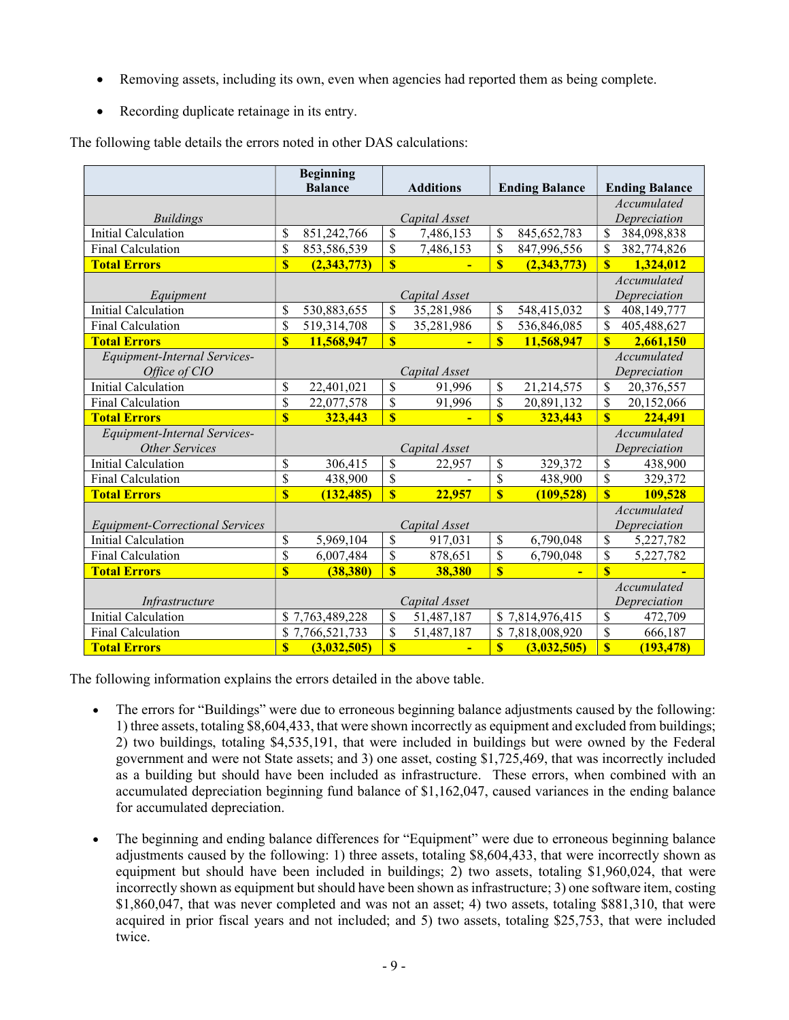- Removing assets, including its own, even when agencies had reported them as being complete.
- Recording duplicate retainage in its entry.

|                                               | <b>Beginning</b><br><b>Balance</b> |                 | <b>Additions</b>        |                          | <b>Ending Balance</b>   |                             | <b>Ending Balance</b>       |                             |  |
|-----------------------------------------------|------------------------------------|-----------------|-------------------------|--------------------------|-------------------------|-----------------------------|-----------------------------|-----------------------------|--|
|                                               |                                    |                 |                         |                          |                         |                             |                             | Accumulated                 |  |
| <b>Buildings</b>                              |                                    |                 |                         | Capital Asset            |                         |                             |                             | Depreciation                |  |
| <b>Initial Calculation</b>                    | \$                                 | 851,242,766     | $\mathbf{\hat{S}}$      | 7,486,153                | \$                      | 845, 652, 783               | \$                          | 384,098,838                 |  |
| Final Calculation                             | \$                                 | 853,586,539     | \$                      | 7,486,153                | \$                      | 847,996,556                 | \$                          | 382,774,826                 |  |
| <b>Total Errors</b>                           | $\overline{\mathbf{s}}$            | (2,343,773)     | $\overline{\mathbf{s}}$ |                          | $\overline{\mathbb{S}}$ | (2,343,773)                 | $\overline{\mathbf{s}}$     | 1,324,012                   |  |
| Equipment                                     |                                    |                 | Capital Asset           |                          |                         |                             | Accumulated<br>Depreciation |                             |  |
| <b>Initial Calculation</b>                    | \$                                 | 530,883,655     | \$                      | 35,281,986               | \$                      | 548,415,032                 | \$                          | 408,149,777                 |  |
| Final Calculation                             | $\overline{\$}$                    | 519,314,708     | \$                      | 35,281,986               | $\overline{\$}$         | 536,846,085                 | \$                          | 405,488,627                 |  |
| <b>Total Errors</b>                           | $\overline{\mathbf{S}}$            | 11,568,947      | $\overline{\mathbf{S}}$ | $\blacksquare$           | $\overline{\mathbf{S}}$ | 11,568,947                  | $\mathbf{s}$                | 2,661,150                   |  |
| Equipment-Internal Services-<br>Office of CIO | Capital Asset                      |                 |                         |                          |                         | Accumulated<br>Depreciation |                             |                             |  |
| <b>Initial Calculation</b>                    | \$                                 | 22,401,021      | \$                      | 91,996                   | \$                      | 21,214,575                  | \$                          | 20,376,557                  |  |
| Final Calculation                             | \$                                 | 22,077,578      | \$                      | 91,996                   | \$                      | 20,891,132                  | \$                          | 20,152,066                  |  |
| <b>Total Errors</b>                           | $\overline{\mathbf{S}}$            | 323,443         | $\overline{\mathbf{S}}$ | $\overline{\phantom{0}}$ | $\overline{\mathbb{S}}$ | 323,443                     | $\overline{\mathbf{s}}$     | 224,491                     |  |
| Equipment-Internal Services-                  |                                    |                 |                         |                          |                         |                             |                             | Accumulated                 |  |
| <b>Other Services</b>                         |                                    |                 |                         | Capital Asset            |                         |                             | Depreciation                |                             |  |
| <b>Initial Calculation</b>                    | \$                                 | 306,415         | \$                      | 22,957                   | \$                      | 329,372                     | \$                          | 438,900                     |  |
| Final Calculation                             | $\overline{\mathcal{S}}$           | 438,900         | \$                      |                          | $\overline{\$}$         | 438,900                     | $\overline{\mathbb{S}}$     | 329,372                     |  |
| <b>Total Errors</b>                           | $\overline{\mathbb{S}}$            | (132, 485)      | $\overline{\mathbf{S}}$ | 22,957                   | $\overline{\mathbf{S}}$ | (109, 528)                  | $\overline{\mathbb{S}}$     | 109,528                     |  |
| <b>Equipment-Correctional Services</b>        |                                    |                 |                         | Capital Asset            |                         |                             | Accumulated<br>Depreciation |                             |  |
| <b>Initial Calculation</b>                    | \$                                 | 5,969,104       | \$                      | 917,031                  | \$                      | 6,790,048                   | \$                          | 5,227,782                   |  |
| Final Calculation                             | \$                                 | 6,007,484       | \$                      | 878,651                  | \$                      | 6,790,048                   | \$                          | 5,227,782                   |  |
| <b>Total Errors</b>                           | $\overline{\mathbb{S}}$            | (38, 380)       | $\overline{\mathbf{S}}$ | 38,380                   | $\overline{\mathbb{S}}$ | $\blacksquare$              | $\overline{\mathbf{s}}$     |                             |  |
| Infrastructure                                |                                    |                 | Capital Asset           |                          |                         |                             |                             | Accumulated<br>Depreciation |  |
| <b>Initial Calculation</b>                    |                                    | \$7,763,489,228 | $\mathcal{S}$           | 51,487,187               |                         | \$7,814,976,415             | \$                          | 472,709                     |  |
| Final Calculation                             |                                    | \$7,766,521,733 | \$                      | 51,487,187               |                         | \$7,818,008,920             | \$                          | 666,187                     |  |
| <b>Total Errors</b>                           | $\overline{\mathbb{S}}$            | (3,032,505)     | $\overline{\mathbf{S}}$ | $\blacksquare$           | $\boldsymbol{\$}$       | (3,032,505)                 | $\overline{\mathbf{S}}$     | (193, 478)                  |  |

The following table details the errors noted in other DAS calculations:

The following information explains the errors detailed in the above table.

- The errors for "Buildings" were due to erroneous beginning balance adjustments caused by the following: 1) three assets, totaling \$8,604,433, that were shown incorrectly as equipment and excluded from buildings; 2) two buildings, totaling \$4,535,191, that were included in buildings but were owned by the Federal government and were not State assets; and 3) one asset, costing \$1,725,469, that was incorrectly included as a building but should have been included as infrastructure. These errors, when combined with an accumulated depreciation beginning fund balance of \$1,162,047, caused variances in the ending balance for accumulated depreciation.
- The beginning and ending balance differences for "Equipment" were due to erroneous beginning balance adjustments caused by the following: 1) three assets, totaling \$8,604,433, that were incorrectly shown as equipment but should have been included in buildings; 2) two assets, totaling \$1,960,024, that were incorrectly shown as equipment but should have been shown as infrastructure; 3) one software item, costing \$1,860,047, that was never completed and was not an asset; 4) two assets, totaling \$881,310, that were acquired in prior fiscal years and not included; and 5) two assets, totaling \$25,753, that were included twice.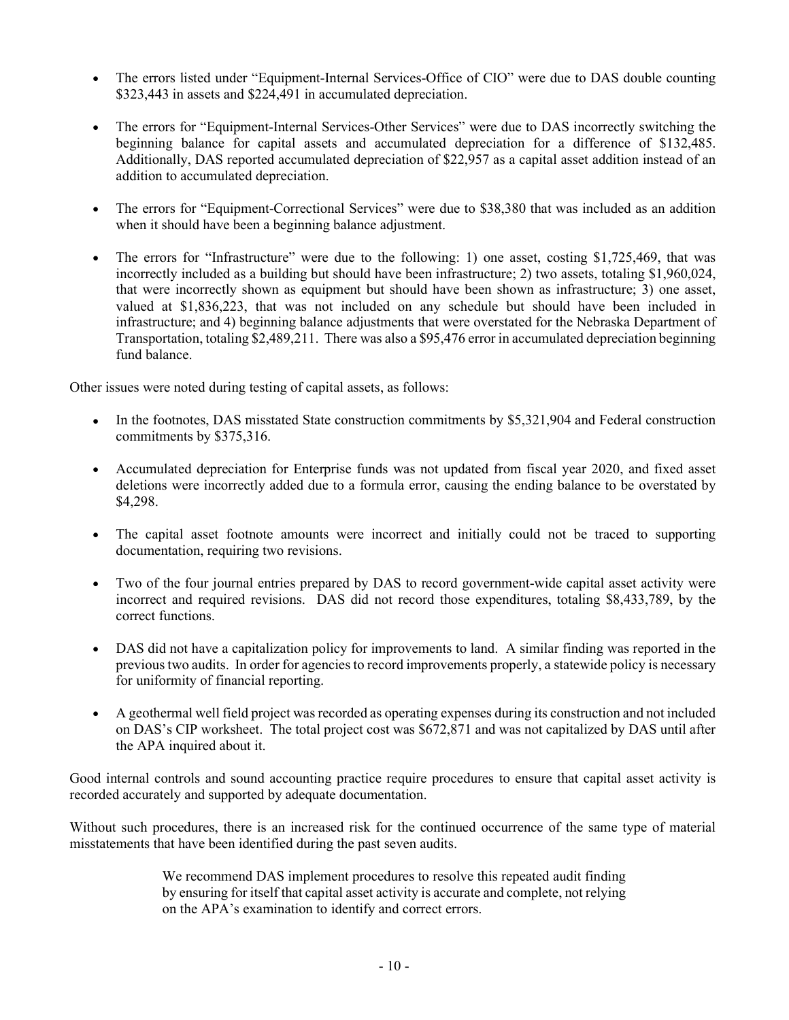- The errors listed under "Equipment-Internal Services-Office of CIO" were due to DAS double counting \$323,443 in assets and \$224,491 in accumulated depreciation.
- The errors for "Equipment-Internal Services-Other Services" were due to DAS incorrectly switching the beginning balance for capital assets and accumulated depreciation for a difference of \$132,485. Additionally, DAS reported accumulated depreciation of \$22,957 as a capital asset addition instead of an addition to accumulated depreciation.
- The errors for "Equipment-Correctional Services" were due to \$38,380 that was included as an addition when it should have been a beginning balance adjustment.
- The errors for "Infrastructure" were due to the following: 1) one asset, costing \$1,725,469, that was incorrectly included as a building but should have been infrastructure; 2) two assets, totaling \$1,960,024, that were incorrectly shown as equipment but should have been shown as infrastructure; 3) one asset, valued at \$1,836,223, that was not included on any schedule but should have been included in infrastructure; and 4) beginning balance adjustments that were overstated for the Nebraska Department of Transportation, totaling \$2,489,211. There was also a \$95,476 error in accumulated depreciation beginning fund balance.

Other issues were noted during testing of capital assets, as follows:

- In the footnotes, DAS misstated State construction commitments by \$5,321,904 and Federal construction commitments by \$375,316.
- Accumulated depreciation for Enterprise funds was not updated from fiscal year 2020, and fixed asset deletions were incorrectly added due to a formula error, causing the ending balance to be overstated by \$4,298.
- The capital asset footnote amounts were incorrect and initially could not be traced to supporting documentation, requiring two revisions.
- Two of the four journal entries prepared by DAS to record government-wide capital asset activity were incorrect and required revisions. DAS did not record those expenditures, totaling \$8,433,789, by the correct functions.
- DAS did not have a capitalization policy for improvements to land. A similar finding was reported in the previous two audits. In order for agencies to record improvements properly, a statewide policy is necessary for uniformity of financial reporting.
- A geothermal well field project was recorded as operating expenses during its construction and not included on DAS's CIP worksheet. The total project cost was \$672,871 and was not capitalized by DAS until after the APA inquired about it.

Good internal controls and sound accounting practice require procedures to ensure that capital asset activity is recorded accurately and supported by adequate documentation.

Without such procedures, there is an increased risk for the continued occurrence of the same type of material misstatements that have been identified during the past seven audits.

> We recommend DAS implement procedures to resolve this repeated audit finding by ensuring for itself that capital asset activity is accurate and complete, not relying on the APA's examination to identify and correct errors.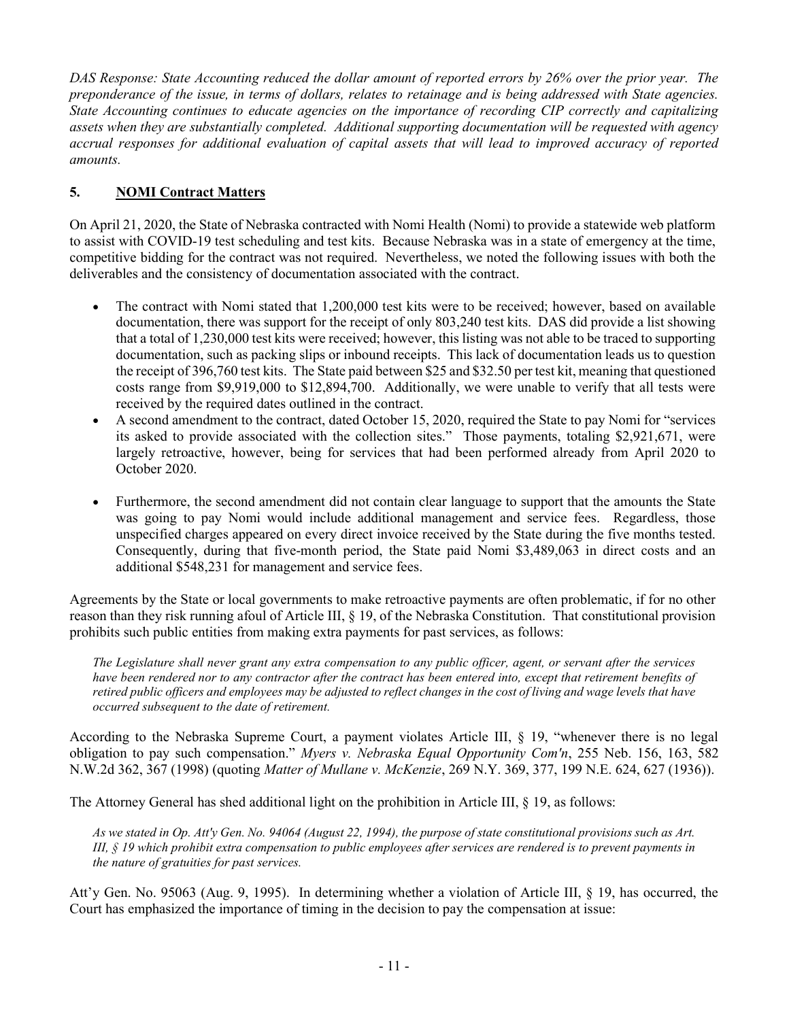DAS Response: State Accounting reduced the dollar amount of reported errors by 26% over the prior year. The preponderance of the issue, in terms of dollars, relates to retainage and is being addressed with State agencies. State Accounting continues to educate agencies on the importance of recording CIP correctly and capitalizing assets when they are substantially completed. Additional supporting documentation will be requested with agency accrual responses for additional evaluation of capital assets that will lead to improved accuracy of reported amounts.

# 5. NOMI Contract Matters

On April 21, 2020, the State of Nebraska contracted with Nomi Health (Nomi) to provide a statewide web platform to assist with COVID-19 test scheduling and test kits. Because Nebraska was in a state of emergency at the time, competitive bidding for the contract was not required. Nevertheless, we noted the following issues with both the deliverables and the consistency of documentation associated with the contract.

- The contract with Nomi stated that 1,200,000 test kits were to be received; however, based on available documentation, there was support for the receipt of only 803,240 test kits. DAS did provide a list showing that a total of 1,230,000 test kits were received; however, this listing was not able to be traced to supporting documentation, such as packing slips or inbound receipts. This lack of documentation leads us to question the receipt of 396,760 test kits. The State paid between \$25 and \$32.50 per test kit, meaning that questioned costs range from \$9,919,000 to \$12,894,700. Additionally, we were unable to verify that all tests were received by the required dates outlined in the contract.
- A second amendment to the contract, dated October 15, 2020, required the State to pay Nomi for "services its asked to provide associated with the collection sites." Those payments, totaling \$2,921,671, were largely retroactive, however, being for services that had been performed already from April 2020 to October 2020.
- Furthermore, the second amendment did not contain clear language to support that the amounts the State was going to pay Nomi would include additional management and service fees. Regardless, those unspecified charges appeared on every direct invoice received by the State during the five months tested. Consequently, during that five-month period, the State paid Nomi \$3,489,063 in direct costs and an additional \$548,231 for management and service fees.

Agreements by the State or local governments to make retroactive payments are often problematic, if for no other reason than they risk running afoul of Article III, § 19, of the Nebraska Constitution. That constitutional provision prohibits such public entities from making extra payments for past services, as follows:

The Legislature shall never grant any extra compensation to any public officer, agent, or servant after the services have been rendered nor to any contractor after the contract has been entered into, except that retirement benefits of retired public officers and employees may be adjusted to reflect changes in the cost of living and wage levels that have occurred subsequent to the date of retirement.

According to the Nebraska Supreme Court, a payment violates Article III, § 19, "whenever there is no legal obligation to pay such compensation." Myers v. Nebraska Equal Opportunity Com'n, 255 Neb. 156, 163, 582 N.W.2d 362, 367 (1998) (quoting Matter of Mullane v. McKenzie, 269 N.Y. 369, 377, 199 N.E. 624, 627 (1936)).

The Attorney General has shed additional light on the prohibition in Article III, § 19, as follows:

As we stated in Op. Att'y Gen. No. 94064 (August 22, 1994), the purpose of state constitutional provisions such as Art. III, § 19 which prohibit extra compensation to public employees after services are rendered is to prevent payments in the nature of gratuities for past services.

Att'y Gen. No. 95063 (Aug. 9, 1995). In determining whether a violation of Article III, § 19, has occurred, the Court has emphasized the importance of timing in the decision to pay the compensation at issue: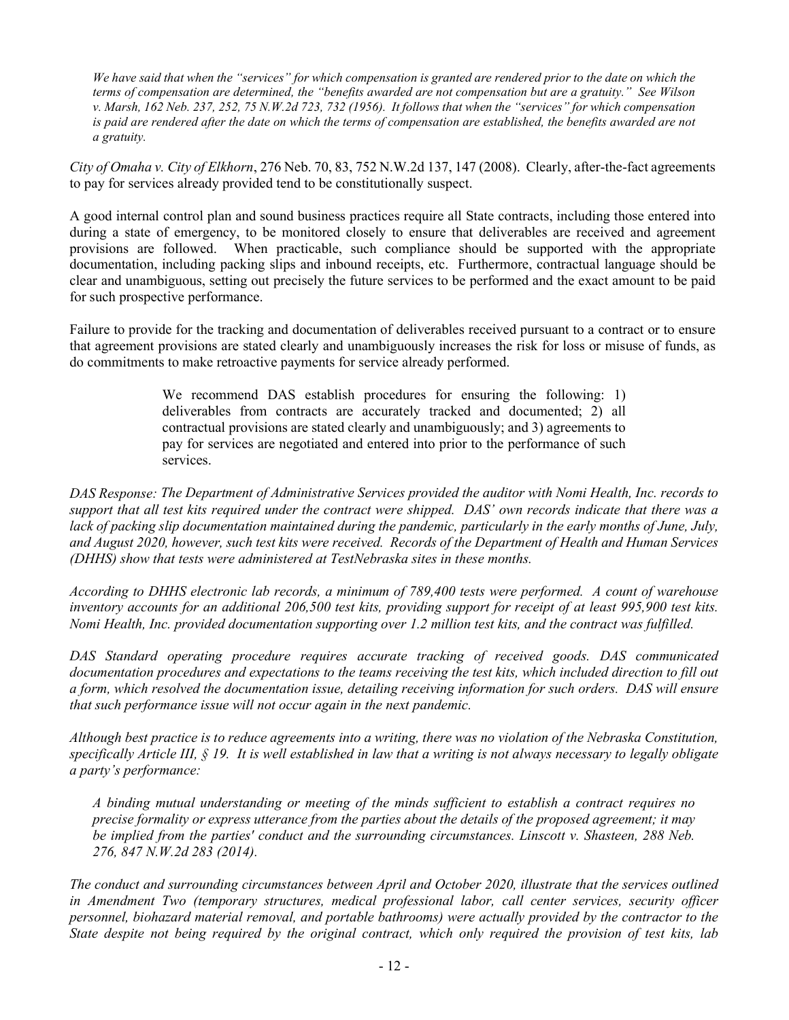We have said that when the "services" for which compensation is granted are rendered prior to the date on which the terms of compensation are determined, the "benefits awarded are not compensation but are a gratuity." See Wilson v. Marsh, 162 Neb. 237, 252, 75 N.W.2d 723, 732 (1956). It follows that when the "services" for which compensation is paid are rendered after the date on which the terms of compensation are established, the benefits awarded are not a gratuity.

City of Omaha v. City of Elkhorn, 276 Neb. 70, 83, 752 N.W.2d 137, 147 (2008). Clearly, after-the-fact agreements to pay for services already provided tend to be constitutionally suspect.

A good internal control plan and sound business practices require all State contracts, including those entered into during a state of emergency, to be monitored closely to ensure that deliverables are received and agreement provisions are followed. When practicable, such compliance should be supported with the appropriate documentation, including packing slips and inbound receipts, etc. Furthermore, contractual language should be clear and unambiguous, setting out precisely the future services to be performed and the exact amount to be paid for such prospective performance.

Failure to provide for the tracking and documentation of deliverables received pursuant to a contract or to ensure that agreement provisions are stated clearly and unambiguously increases the risk for loss or misuse of funds, as do commitments to make retroactive payments for service already performed.

> We recommend DAS establish procedures for ensuring the following: 1) deliverables from contracts are accurately tracked and documented; 2) all contractual provisions are stated clearly and unambiguously; and 3) agreements to pay for services are negotiated and entered into prior to the performance of such services.

DAS Response: The Department of Administrative Services provided the auditor with Nomi Health, Inc. records to support that all test kits required under the contract were shipped. DAS' own records indicate that there was a lack of packing slip documentation maintained during the pandemic, particularly in the early months of June, July, and August 2020, however, such test kits were received. Records of the Department of Health and Human Services (DHHS) show that tests were administered at TestNebraska sites in these months.

According to DHHS electronic lab records, a minimum of 789,400 tests were performed. A count of warehouse inventory accounts for an additional 206,500 test kits, providing support for receipt of at least 995,900 test kits. Nomi Health, Inc. provided documentation supporting over 1.2 million test kits, and the contract was fulfilled.

DAS Standard operating procedure requires accurate tracking of received goods. DAS communicated documentation procedures and expectations to the teams receiving the test kits, which included direction to fill out a form, which resolved the documentation issue, detailing receiving information for such orders. DAS will ensure that such performance issue will not occur again in the next pandemic.

Although best practice is to reduce agreements into a writing, there was no violation of the Nebraska Constitution, specifically Article III,  $\S$  19. It is well established in law that a writing is not always necessary to legally obligate a party's performance:

A binding mutual understanding or meeting of the minds sufficient to establish a contract requires no precise formality or express utterance from the parties about the details of the proposed agreement; it may be implied from the parties' conduct and the surrounding circumstances. Linscott v. Shasteen, 288 Neb. 276, 847 N.W.2d 283 (2014).

The conduct and surrounding circumstances between April and October 2020, illustrate that the services outlined in Amendment Two (temporary structures, medical professional labor, call center services, security officer personnel, biohazard material removal, and portable bathrooms) were actually provided by the contractor to the State despite not being required by the original contract, which only required the provision of test kits, lab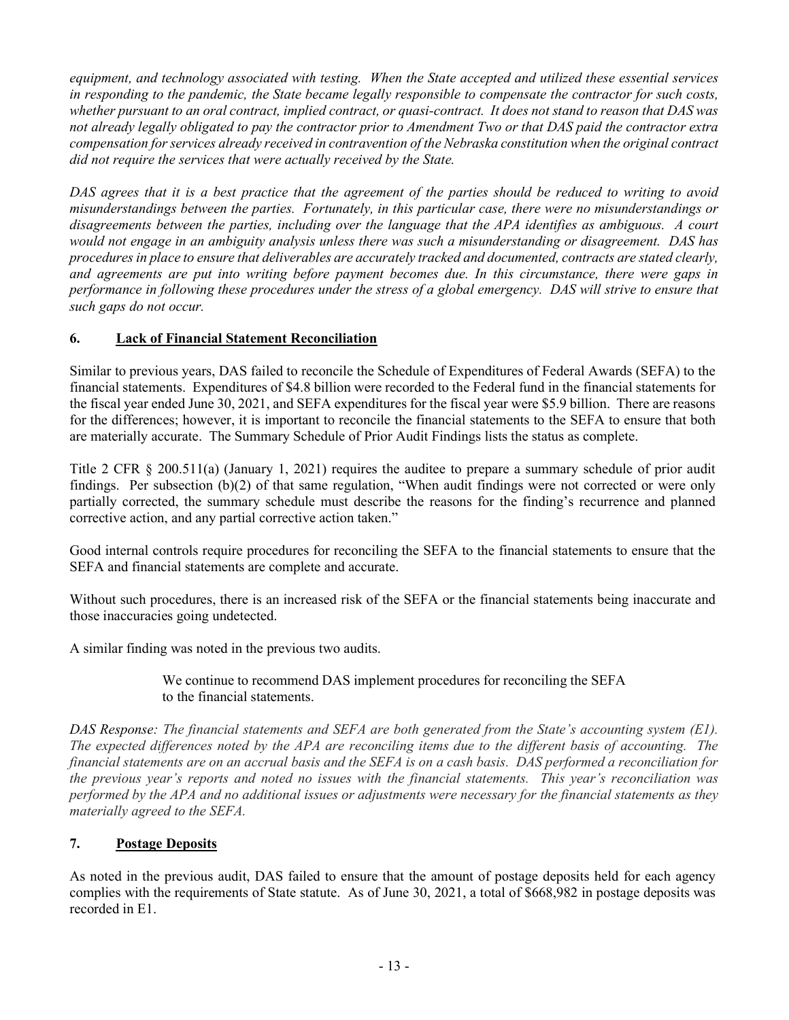equipment, and technology associated with testing. When the State accepted and utilized these essential services in responding to the pandemic, the State became legally responsible to compensate the contractor for such costs, whether pursuant to an oral contract, implied contract, or quasi-contract. It does not stand to reason that DAS was not already legally obligated to pay the contractor prior to Amendment Two or that DAS paid the contractor extra compensation for services already received in contravention of the Nebraska constitution when the original contract did not require the services that were actually received by the State.

DAS agrees that it is a best practice that the agreement of the parties should be reduced to writing to avoid misunderstandings between the parties. Fortunately, in this particular case, there were no misunderstandings or disagreements between the parties, including over the language that the APA identifies as ambiguous. A court would not engage in an ambiguity analysis unless there was such a misunderstanding or disagreement. DAS has procedures in place to ensure that deliverables are accurately tracked and documented, contracts are stated clearly, and agreements are put into writing before payment becomes due. In this circumstance, there were gaps in performance in following these procedures under the stress of a global emergency. DAS will strive to ensure that such gaps do not occur.

# 6. Lack of Financial Statement Reconciliation

Similar to previous years, DAS failed to reconcile the Schedule of Expenditures of Federal Awards (SEFA) to the financial statements. Expenditures of \$4.8 billion were recorded to the Federal fund in the financial statements for the fiscal year ended June 30, 2021, and SEFA expenditures for the fiscal year were \$5.9 billion. There are reasons for the differences; however, it is important to reconcile the financial statements to the SEFA to ensure that both are materially accurate. The Summary Schedule of Prior Audit Findings lists the status as complete.

Title 2 CFR § 200.511(a) (January 1, 2021) requires the auditee to prepare a summary schedule of prior audit findings. Per subsection (b)(2) of that same regulation, "When audit findings were not corrected or were only partially corrected, the summary schedule must describe the reasons for the finding's recurrence and planned corrective action, and any partial corrective action taken."

Good internal controls require procedures for reconciling the SEFA to the financial statements to ensure that the SEFA and financial statements are complete and accurate.

Without such procedures, there is an increased risk of the SEFA or the financial statements being inaccurate and those inaccuracies going undetected.

A similar finding was noted in the previous two audits.

We continue to recommend DAS implement procedures for reconciling the SEFA to the financial statements.

DAS Response: The financial statements and SEFA are both generated from the State's accounting system (E1). The expected differences noted by the APA are reconciling items due to the different basis of accounting. The financial statements are on an accrual basis and the SEFA is on a cash basis. DAS performed a reconciliation for the previous year's reports and noted no issues with the financial statements. This year's reconciliation was performed by the APA and no additional issues or adjustments were necessary for the financial statements as they materially agreed to the SEFA.

### 7. Postage Deposits

As noted in the previous audit, DAS failed to ensure that the amount of postage deposits held for each agency complies with the requirements of State statute. As of June 30, 2021, a total of \$668,982 in postage deposits was recorded in E1.